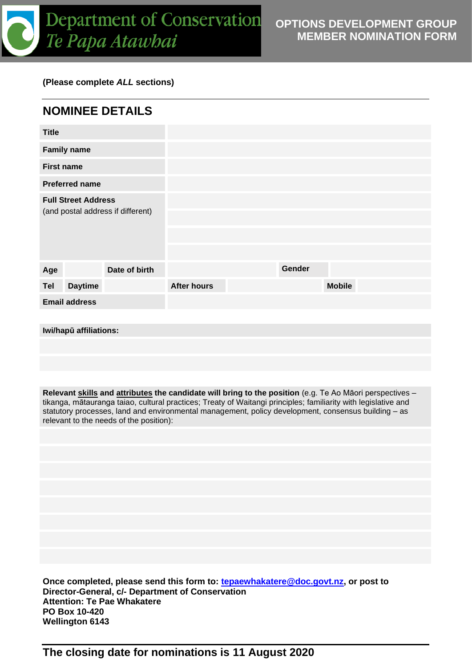

## **(Please complete** *ALL* **sections)**

| <b>NOMINEE DETAILS</b>                                          |                    |               |  |
|-----------------------------------------------------------------|--------------------|---------------|--|
| <b>Title</b>                                                    |                    |               |  |
| <b>Family name</b>                                              |                    |               |  |
| <b>First name</b>                                               |                    |               |  |
| <b>Preferred name</b>                                           |                    |               |  |
| <b>Full Street Address</b><br>(and postal address if different) |                    |               |  |
| Date of birth<br>Age                                            |                    | Gender        |  |
| <b>Daytime</b><br><b>Tel</b>                                    | <b>After hours</b> | <b>Mobile</b> |  |
| <b>Email address</b>                                            |                    |               |  |
|                                                                 |                    |               |  |
| Iwi/hapū affiliations:                                          |                    |               |  |

**Relevant skills and attributes the candidate will bring to the position** (e.g. Te Ao Māori perspectives – tikanga, mātauranga taiao, cultural practices; Treaty of Waitangi principles; familiarity with legislative and statutory processes, land and environmental management, policy development, consensus building – as relevant to the needs of the position):

**Once completed, please send this form to: [tepaewhakatere@doc.govt.nz,](mailto:tepaewhakatere@doc.govt.nz) or post to Director-General, c/- Department of Conservation Attention: Te Pae Whakatere PO Box 10-420 Wellington 6143**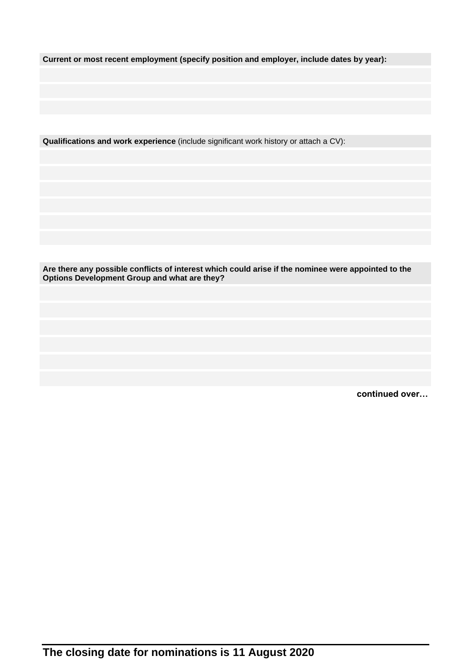**Current or most recent employment (specify position and employer, include dates by year):**

**Qualifications and work experience** (include significant work history or attach a CV):

**Are there any possible conflicts of interest which could arise if the nominee were appointed to the Options Development Group and what are they?**

**continued over…**